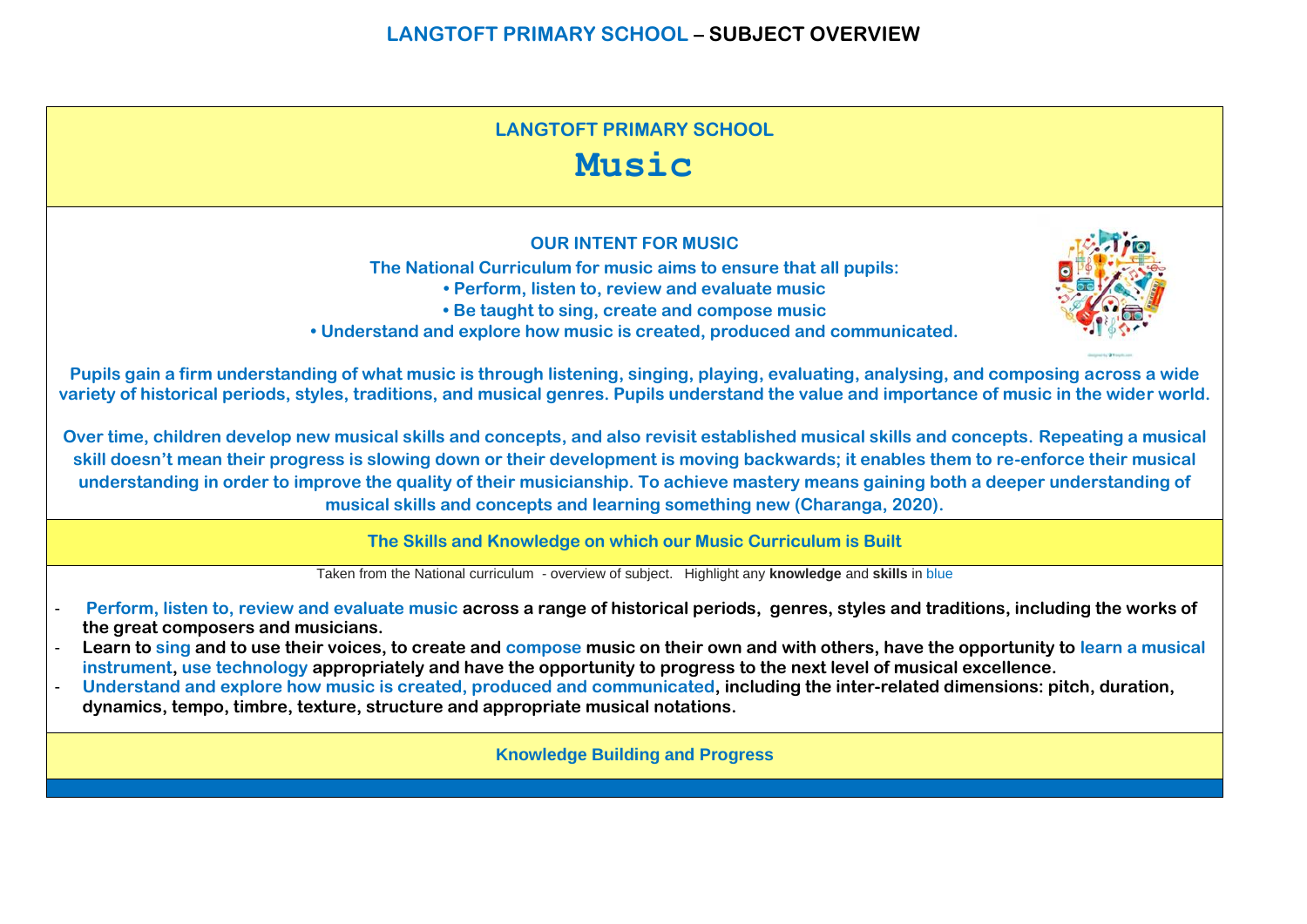# **LANGTOFT PRIMARY SCHOOL Music OUR INTENT FOR MUSIC The National Curriculum for music aims to ensure that all pupils: • Perform, listen to, review and evaluate music • Be taught to sing, create and compose music • Understand and explore how music is created, produced and communicated. Pupils gain a firm understanding of what music is through listening, singing, playing, evaluating, analysing, and composing across a wide variety of historical periods, styles, traditions, and musical genres. Pupils understand the value and importance of music in the wider world. Over time, children develop new musical skills and concepts, and also revisit established musical skills and concepts. Repeating a musical**

**skill doesn't mean their progress is slowing down or their development is moving backwards; it enables them to re-enforce their musical understanding in order to improve the quality of their musicianship. To achieve mastery means gaining both a deeper understanding of musical skills and concepts and learning something new (Charanga, 2020).**

**The Skills and Knowledge on which our Music Curriculum is Built**

Taken from the National curriculum - overview of subject. Highlight any **knowledge** and **skills** in blue

- **Perform, listen to, review and evaluate music across a range of historical periods, genres, styles and traditions, including the works of the great composers and musicians.**
- **Learn to sing and to use their voices, to create and compose music on their own and with others, have the opportunity to learn a musical instrument, use technology appropriately and have the opportunity to progress to the next level of musical excellence.**
- **Understand and explore how music is created, produced and communicated, including the inter-related dimensions: pitch, duration, dynamics, tempo, timbre, texture, structure and appropriate musical notations.**

**Knowledge Building and Progress**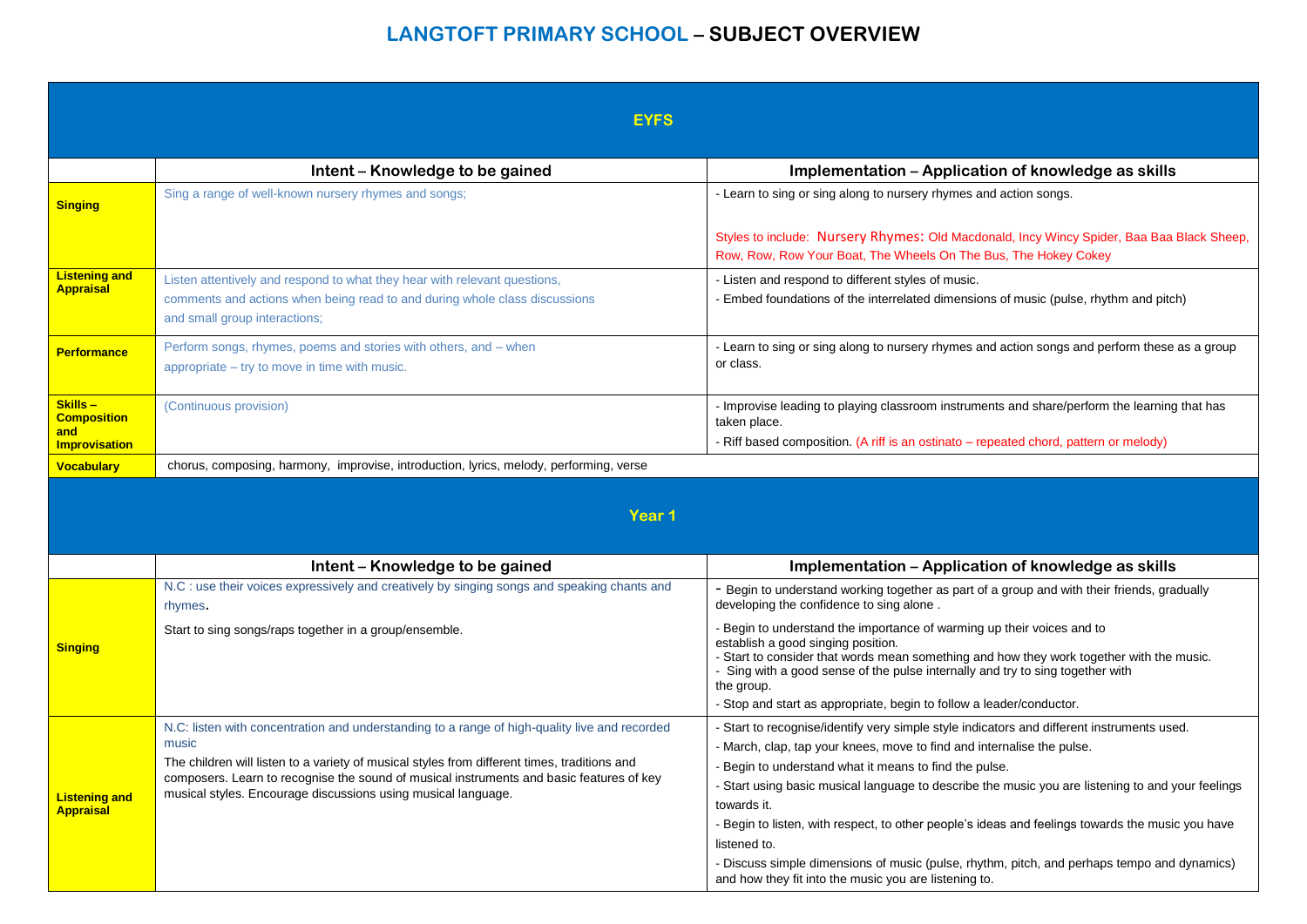|                                           | <b>EYFS</b>                                                                                                                                                                                                                                                                                                                                                         |                                                                                                                                                                                                                                                                                                                                                                                                                                                                                                                                                                                                                              |  |
|-------------------------------------------|---------------------------------------------------------------------------------------------------------------------------------------------------------------------------------------------------------------------------------------------------------------------------------------------------------------------------------------------------------------------|------------------------------------------------------------------------------------------------------------------------------------------------------------------------------------------------------------------------------------------------------------------------------------------------------------------------------------------------------------------------------------------------------------------------------------------------------------------------------------------------------------------------------------------------------------------------------------------------------------------------------|--|
|                                           | Intent - Knowledge to be gained                                                                                                                                                                                                                                                                                                                                     | Implementation - Application of knowledge as skills                                                                                                                                                                                                                                                                                                                                                                                                                                                                                                                                                                          |  |
| <b>Singing</b>                            | Sing a range of well-known nursery rhymes and songs;                                                                                                                                                                                                                                                                                                                | - Learn to sing or sing along to nursery rhymes and action songs.                                                                                                                                                                                                                                                                                                                                                                                                                                                                                                                                                            |  |
|                                           |                                                                                                                                                                                                                                                                                                                                                                     | Styles to include: Nursery Rhymes: Old Macdonald, Incy Wincy Spider, Baa Baa Black Sheep,<br>Row, Row, Row Your Boat, The Wheels On The Bus, The Hokey Cokey                                                                                                                                                                                                                                                                                                                                                                                                                                                                 |  |
| <b>Listening and</b><br><b>Appraisal</b>  | Listen attentively and respond to what they hear with relevant questions,<br>comments and actions when being read to and during whole class discussions<br>and small group interactions;                                                                                                                                                                            | - Listen and respond to different styles of music.<br>- Embed foundations of the interrelated dimensions of music (pulse, rhythm and pitch)                                                                                                                                                                                                                                                                                                                                                                                                                                                                                  |  |
| <b>Performance</b>                        | Perform songs, rhymes, poems and stories with others, and - when<br>appropriate - try to move in time with music.                                                                                                                                                                                                                                                   | - Learn to sing or sing along to nursery rhymes and action songs and perform these as a group<br>or class.                                                                                                                                                                                                                                                                                                                                                                                                                                                                                                                   |  |
| Skills-<br><b>Composition</b><br>and      | (Continuous provision)                                                                                                                                                                                                                                                                                                                                              | - Improvise leading to playing classroom instruments and share/perform the learning that has<br>taken place.<br>- Riff based composition. (A riff is an ostinato - repeated chord, pattern or melody)                                                                                                                                                                                                                                                                                                                                                                                                                        |  |
| <b>Improvisation</b><br><b>Vocabulary</b> | chorus, composing, harmony, improvise, introduction, lyrics, melody, performing, verse                                                                                                                                                                                                                                                                              |                                                                                                                                                                                                                                                                                                                                                                                                                                                                                                                                                                                                                              |  |
|                                           | Year 1                                                                                                                                                                                                                                                                                                                                                              |                                                                                                                                                                                                                                                                                                                                                                                                                                                                                                                                                                                                                              |  |
|                                           | Intent - Knowledge to be gained                                                                                                                                                                                                                                                                                                                                     | Implementation - Application of knowledge as skills                                                                                                                                                                                                                                                                                                                                                                                                                                                                                                                                                                          |  |
|                                           | N.C : use their voices expressively and creatively by singing songs and speaking chants and<br>rhymes.                                                                                                                                                                                                                                                              | - Begin to understand working together as part of a group and with their friends, gradually<br>developing the confidence to sing alone.                                                                                                                                                                                                                                                                                                                                                                                                                                                                                      |  |
| <b>Singing</b>                            | Start to sing songs/raps together in a group/ensemble.                                                                                                                                                                                                                                                                                                              | - Begin to understand the importance of warming up their voices and to<br>establish a good singing position.<br>- Start to consider that words mean something and how they work together with the music.<br>- Sing with a good sense of the pulse internally and try to sing together with<br>the group.<br>- Stop and start as appropriate, begin to follow a leader/conductor.                                                                                                                                                                                                                                             |  |
| <b>Listening and</b><br><b>Appraisal</b>  | N.C: listen with concentration and understanding to a range of high-quality live and recorded<br>music<br>The children will listen to a variety of musical styles from different times, traditions and<br>composers. Learn to recognise the sound of musical instruments and basic features of key<br>musical styles. Encourage discussions using musical language. | - Start to recognise/identify very simple style indicators and different instruments used.<br>- March, clap, tap your knees, move to find and internalise the pulse.<br>Begin to understand what it means to find the pulse.<br>- Start using basic musical language to describe the music you are listening to and your feelings<br>towards it.<br>- Begin to listen, with respect, to other people's ideas and feelings towards the music you have<br>listened to.<br>- Discuss simple dimensions of music (pulse, rhythm, pitch, and perhaps tempo and dynamics)<br>and how they fit into the music you are listening to. |  |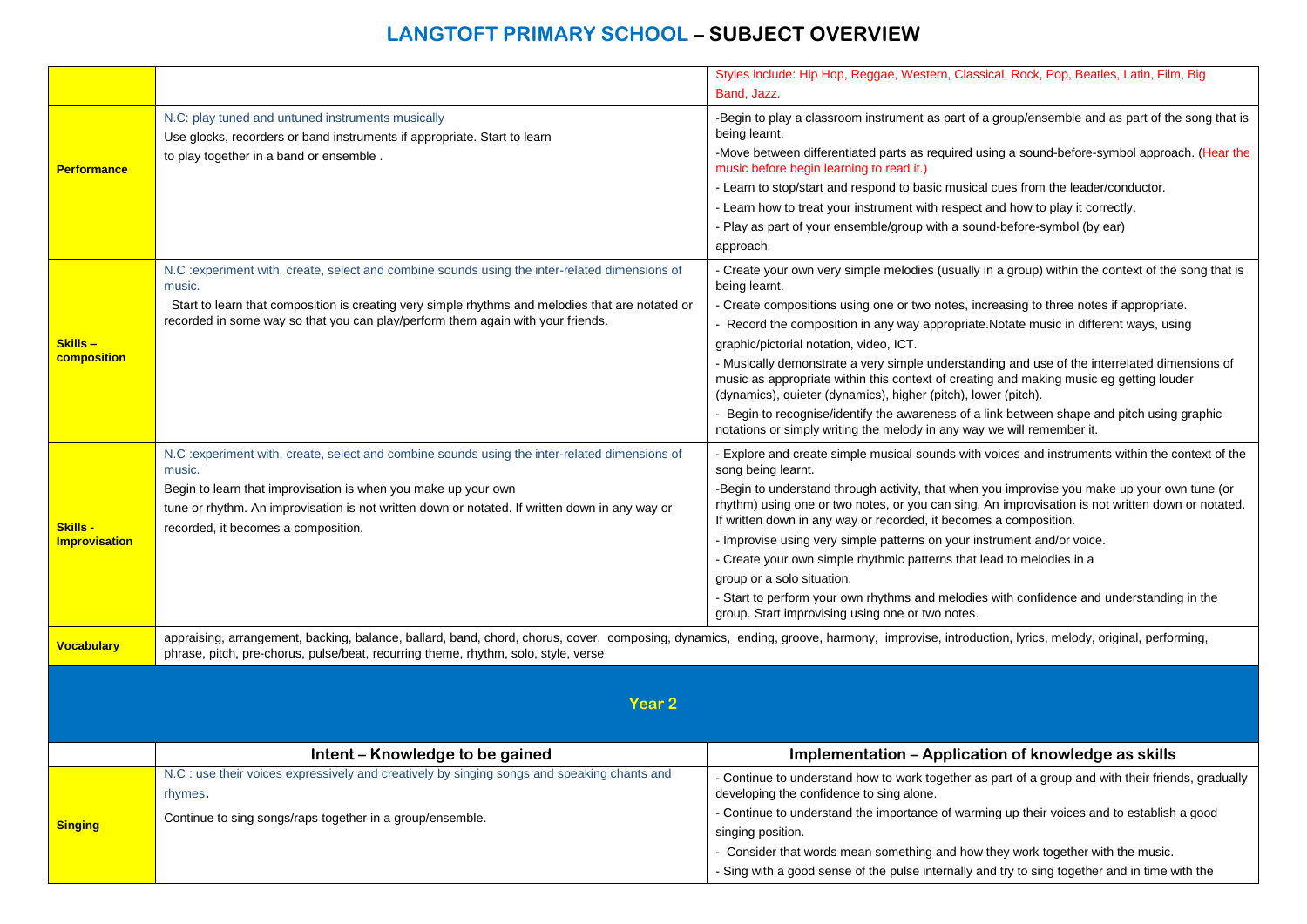|                                  |                                                                                                                                                                                                                                                                                    | Styles include: Hip Hop, Reggae, Western, Classical, Rock, Pop, Beatles, Latin, Film, Big                                                                                                                                                                  |
|----------------------------------|------------------------------------------------------------------------------------------------------------------------------------------------------------------------------------------------------------------------------------------------------------------------------------|------------------------------------------------------------------------------------------------------------------------------------------------------------------------------------------------------------------------------------------------------------|
|                                  |                                                                                                                                                                                                                                                                                    | Band, Jazz.                                                                                                                                                                                                                                                |
|                                  | N.C: play tuned and untuned instruments musically<br>Use glocks, recorders or band instruments if appropriate. Start to learn                                                                                                                                                      | -Begin to play a classroom instrument as part of a group/ensemble and as part of the song that is<br>being learnt.                                                                                                                                         |
| <b>Performance</b>               | to play together in a band or ensemble.                                                                                                                                                                                                                                            | -Move between differentiated parts as required using a sound-before-symbol approach. (Hear the<br>music before begin learning to read it.)                                                                                                                 |
|                                  |                                                                                                                                                                                                                                                                                    | - Learn to stop/start and respond to basic musical cues from the leader/conductor.                                                                                                                                                                         |
|                                  |                                                                                                                                                                                                                                                                                    | - Learn how to treat your instrument with respect and how to play it correctly.                                                                                                                                                                            |
|                                  |                                                                                                                                                                                                                                                                                    | - Play as part of your ensemble/group with a sound-before-symbol (by ear)                                                                                                                                                                                  |
|                                  |                                                                                                                                                                                                                                                                                    | approach.                                                                                                                                                                                                                                                  |
|                                  | N.C : experiment with, create, select and combine sounds using the inter-related dimensions of<br>music.                                                                                                                                                                           | - Create your own very simple melodies (usually in a group) within the context of the song that is<br>being learnt.                                                                                                                                        |
|                                  | Start to learn that composition is creating very simple rhythms and melodies that are notated or                                                                                                                                                                                   | - Create compositions using one or two notes, increasing to three notes if appropriate.                                                                                                                                                                    |
|                                  | recorded in some way so that you can play/perform them again with your friends.                                                                                                                                                                                                    | - Record the composition in any way appropriate. Notate music in different ways, using                                                                                                                                                                     |
| Skills –                         |                                                                                                                                                                                                                                                                                    | graphic/pictorial notation, video, ICT.                                                                                                                                                                                                                    |
| composition                      |                                                                                                                                                                                                                                                                                    | - Musically demonstrate a very simple understanding and use of the interrelated dimensions of<br>music as appropriate within this context of creating and making music eg getting louder<br>(dynamics), quieter (dynamics), higher (pitch), lower (pitch). |
|                                  |                                                                                                                                                                                                                                                                                    | - Begin to recognise/identify the awareness of a link between shape and pitch using graphic<br>notations or simply writing the melody in any way we will remember it.                                                                                      |
|                                  | N.C : experiment with, create, select and combine sounds using the inter-related dimensions of<br>music.                                                                                                                                                                           | Explore and create simple musical sounds with voices and instruments within the context of the<br>song being learnt.                                                                                                                                       |
|                                  | Begin to learn that improvisation is when you make up your own                                                                                                                                                                                                                     | -Begin to understand through activity, that when you improvise you make up your own tune (or                                                                                                                                                               |
|                                  | tune or rhythm. An improvisation is not written down or notated. If written down in any way or                                                                                                                                                                                     | rhythm) using one or two notes, or you can sing. An improvisation is not written down or notated.<br>If written down in any way or recorded, it becomes a composition.                                                                                     |
| Skills -<br><b>Improvisation</b> | recorded, it becomes a composition.                                                                                                                                                                                                                                                | - Improvise using very simple patterns on your instrument and/or voice.                                                                                                                                                                                    |
|                                  |                                                                                                                                                                                                                                                                                    | - Create your own simple rhythmic patterns that lead to melodies in a                                                                                                                                                                                      |
|                                  |                                                                                                                                                                                                                                                                                    | group or a solo situation.                                                                                                                                                                                                                                 |
|                                  |                                                                                                                                                                                                                                                                                    | - Start to perform your own rhythms and melodies with confidence and understanding in the<br>group. Start improvising using one or two notes.                                                                                                              |
| <b>Vocabulary</b>                | appraising, arrangement, backing, balance, ballard, band, chord, chorus, cover, composing, dynamics, ending, groove, harmony, improvise, introduction, lyrics, melody, original, performing,<br>phrase, pitch, pre-chorus, pulse/beat, recurring theme, rhythm, solo, style, verse |                                                                                                                                                                                                                                                            |
|                                  |                                                                                                                                                                                                                                                                                    |                                                                                                                                                                                                                                                            |
|                                  | <b>Year 2</b>                                                                                                                                                                                                                                                                      |                                                                                                                                                                                                                                                            |
|                                  |                                                                                                                                                                                                                                                                                    |                                                                                                                                                                                                                                                            |
|                                  |                                                                                                                                                                                                                                                                                    |                                                                                                                                                                                                                                                            |
|                                  | Intent - Knowledge to be gained<br>N.C : use their voices expressively and creatively by singing songs and speaking chants and                                                                                                                                                     | Implementation - Application of knowledge as skills                                                                                                                                                                                                        |
|                                  | rhymes.                                                                                                                                                                                                                                                                            | - Continue to understand how to work together as part of a group and with their friends, gradually<br>developing the confidence to sing alone.                                                                                                             |
|                                  |                                                                                                                                                                                                                                                                                    | - Continue to understand the importance of warming up their voices and to establish a good                                                                                                                                                                 |
| <b>Singing</b>                   | Continue to sing songs/raps together in a group/ensemble.                                                                                                                                                                                                                          | singing position.                                                                                                                                                                                                                                          |
|                                  |                                                                                                                                                                                                                                                                                    | - Consider that words mean something and how they work together with the music.                                                                                                                                                                            |
|                                  |                                                                                                                                                                                                                                                                                    | Sing with a good sense of the pulse internally and try to sing together and in time with the                                                                                                                                                               |
|                                  |                                                                                                                                                                                                                                                                                    |                                                                                                                                                                                                                                                            |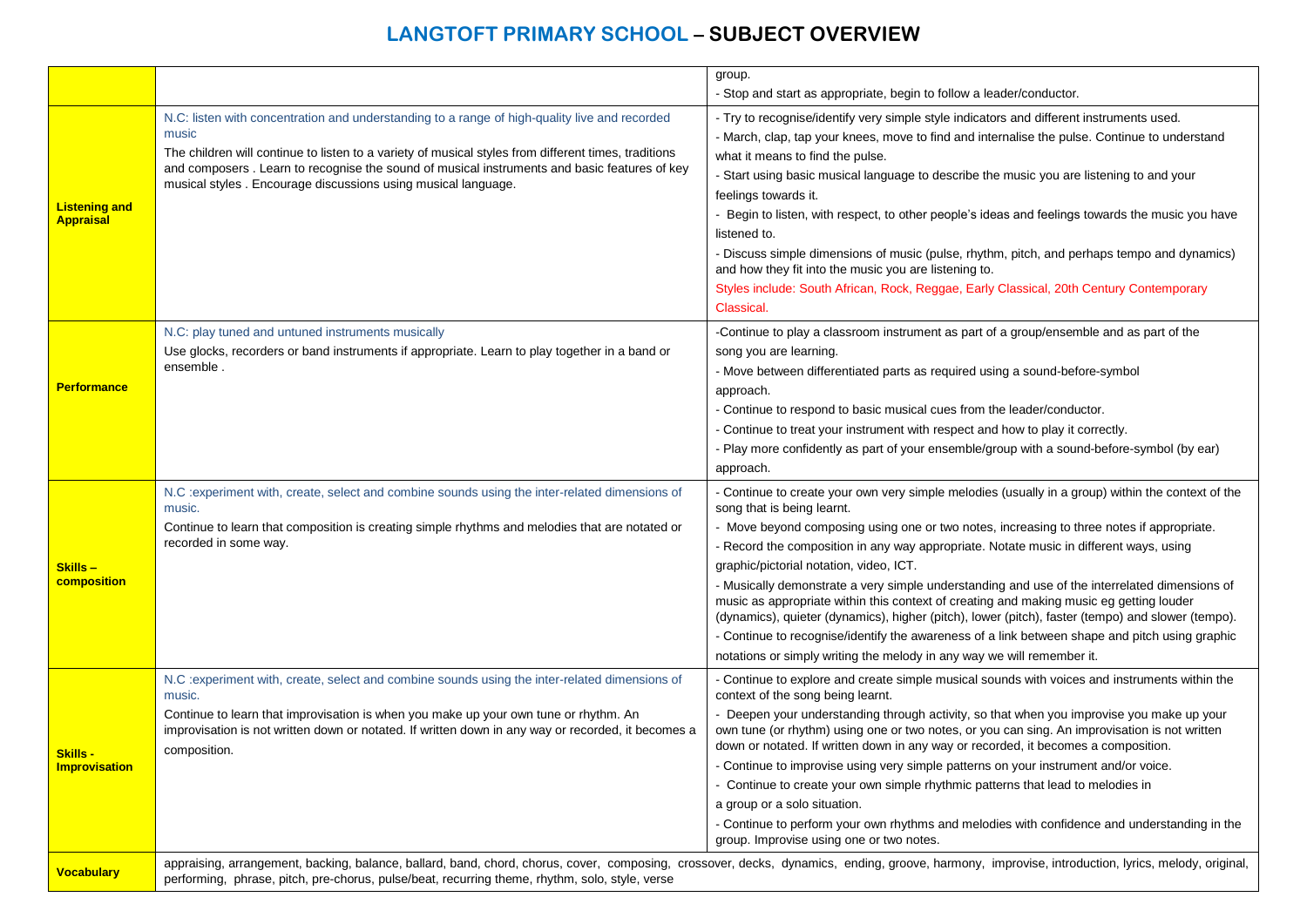|                                          |                                                                                                                                                                                                                                                                                                                                                                                  | group.                                                                                                                                                                                                                                                                                                                                                                                                                                                                                                                                                                                                                                                                                                                                                                                                                                         |
|------------------------------------------|----------------------------------------------------------------------------------------------------------------------------------------------------------------------------------------------------------------------------------------------------------------------------------------------------------------------------------------------------------------------------------|------------------------------------------------------------------------------------------------------------------------------------------------------------------------------------------------------------------------------------------------------------------------------------------------------------------------------------------------------------------------------------------------------------------------------------------------------------------------------------------------------------------------------------------------------------------------------------------------------------------------------------------------------------------------------------------------------------------------------------------------------------------------------------------------------------------------------------------------|
|                                          |                                                                                                                                                                                                                                                                                                                                                                                  | - Stop and start as appropriate, begin to follow a leader/conductor.                                                                                                                                                                                                                                                                                                                                                                                                                                                                                                                                                                                                                                                                                                                                                                           |
| <b>Listening and</b><br><b>Appraisal</b> | N.C: listen with concentration and understanding to a range of high-quality live and recorded<br>music<br>The children will continue to listen to a variety of musical styles from different times, traditions<br>and composers . Learn to recognise the sound of musical instruments and basic features of key<br>musical styles. Encourage discussions using musical language. | - Try to recognise/identify very simple style indicators and different instruments used.<br>- March, clap, tap your knees, move to find and internalise the pulse. Continue to understand<br>what it means to find the pulse.<br>- Start using basic musical language to describe the music you are listening to and your<br>feelings towards it.<br>- Begin to listen, with respect, to other people's ideas and feelings towards the music you have<br>listened to.<br>- Discuss simple dimensions of music (pulse, rhythm, pitch, and perhaps tempo and dynamics)<br>and how they fit into the music you are listening to.<br>Styles include: South African, Rock, Reggae, Early Classical, 20th Century Contemporary<br>Classical.                                                                                                         |
| <b>Performance</b>                       | N.C: play tuned and untuned instruments musically<br>Use glocks, recorders or band instruments if appropriate. Learn to play together in a band or<br>ensemble.                                                                                                                                                                                                                  | -Continue to play a classroom instrument as part of a group/ensemble and as part of the<br>song you are learning.<br>- Move between differentiated parts as required using a sound-before-symbol<br>approach.<br>- Continue to respond to basic musical cues from the leader/conductor.<br>- Continue to treat your instrument with respect and how to play it correctly.<br>- Play more confidently as part of your ensemble/group with a sound-before-symbol (by ear)<br>approach.                                                                                                                                                                                                                                                                                                                                                           |
| Skills-<br>composition                   | N.C : experiment with, create, select and combine sounds using the inter-related dimensions of<br>music.<br>Continue to learn that composition is creating simple rhythms and melodies that are notated or<br>recorded in some way.                                                                                                                                              | - Continue to create your own very simple melodies (usually in a group) within the context of the<br>song that is being learnt.<br>- Move beyond composing using one or two notes, increasing to three notes if appropriate.<br>- Record the composition in any way appropriate. Notate music in different ways, using<br>graphic/pictorial notation, video, ICT.<br>- Musically demonstrate a very simple understanding and use of the interrelated dimensions of<br>music as appropriate within this context of creating and making music eg getting louder<br>(dynamics), quieter (dynamics), higher (pitch), lower (pitch), faster (tempo) and slower (tempo).<br>- Continue to recognise/identify the awareness of a link between shape and pitch using graphic<br>notations or simply writing the melody in any way we will remember it. |
| Skills -<br><b>Improvisation</b>         | N.C : experiment with, create, select and combine sounds using the inter-related dimensions of<br>music.<br>Continue to learn that improvisation is when you make up your own tune or rhythm. An<br>improvisation is not written down or notated. If written down in any way or recorded, it becomes a<br>composition.                                                           | - Continue to explore and create simple musical sounds with voices and instruments within the<br>context of the song being learnt.<br>- Deepen your understanding through activity, so that when you improvise you make up your<br>own tune (or rhythm) using one or two notes, or you can sing. An improvisation is not written<br>down or notated. If written down in any way or recorded, it becomes a composition.<br>- Continue to improvise using very simple patterns on your instrument and/or voice.<br>- Continue to create your own simple rhythmic patterns that lead to melodies in<br>a group or a solo situation.<br>- Continue to perform your own rhythms and melodies with confidence and understanding in the<br>group. Improvise using one or two notes.                                                                   |
| <b>Vocabulary</b>                        | performing, phrase, pitch, pre-chorus, pulse/beat, recurring theme, rhythm, solo, style, verse                                                                                                                                                                                                                                                                                   | appraising, arrangement, backing, balance, ballard, band, chord, chorus, cover, composing, crossover, decks, dynamics, ending, groove, harmony, improvise, introduction, lyrics, melody, original,                                                                                                                                                                                                                                                                                                                                                                                                                                                                                                                                                                                                                                             |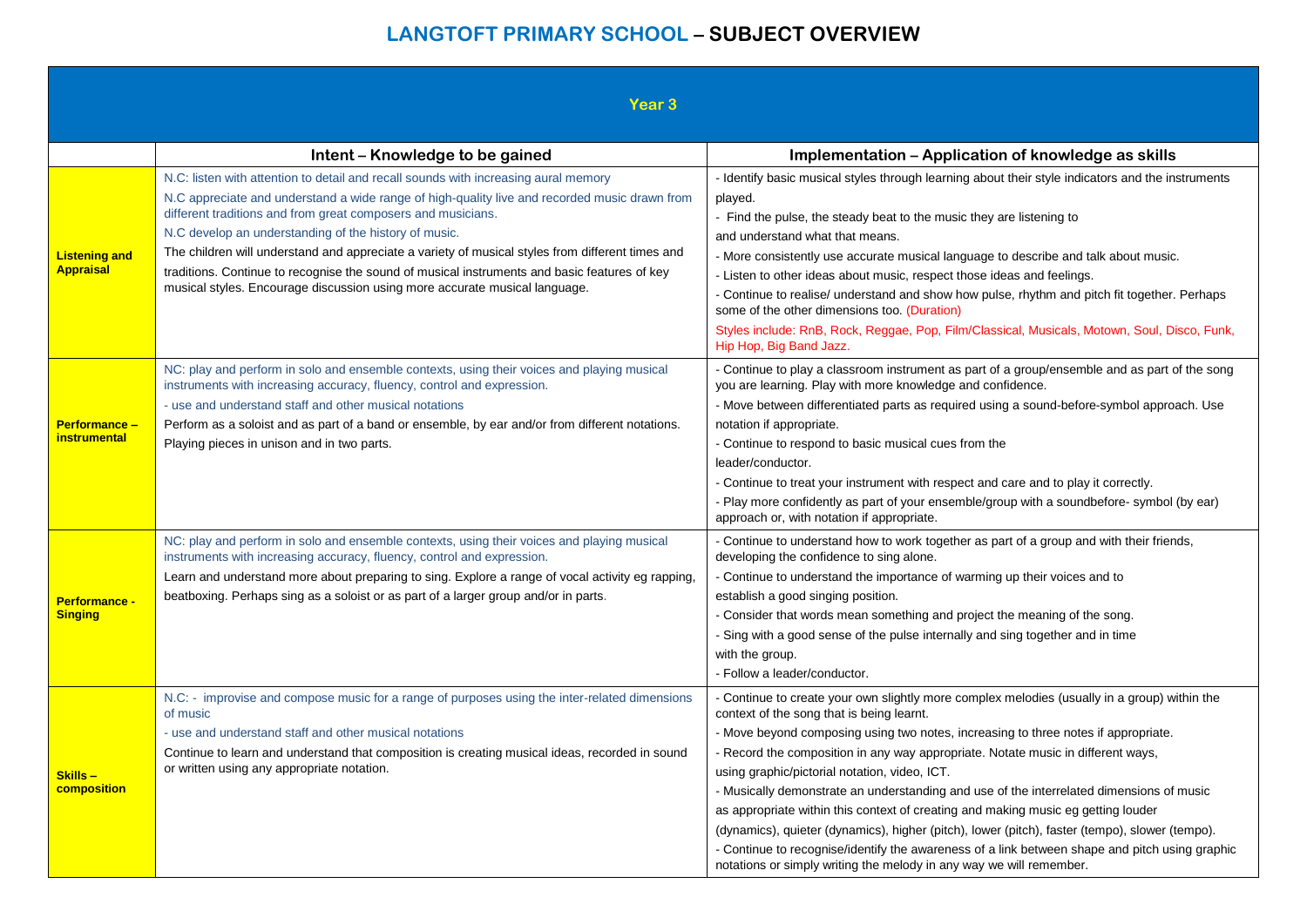| Year <sub>3</sub>                        |                                                                                                                                                                                                                                                                                                                                                                                                                                                                                                                                                                                                 |                                                                                                                                                                                                                                                                                                                                                                                                                                                                                                                                                                                                                                                                                                                                                                                                                              |
|------------------------------------------|-------------------------------------------------------------------------------------------------------------------------------------------------------------------------------------------------------------------------------------------------------------------------------------------------------------------------------------------------------------------------------------------------------------------------------------------------------------------------------------------------------------------------------------------------------------------------------------------------|------------------------------------------------------------------------------------------------------------------------------------------------------------------------------------------------------------------------------------------------------------------------------------------------------------------------------------------------------------------------------------------------------------------------------------------------------------------------------------------------------------------------------------------------------------------------------------------------------------------------------------------------------------------------------------------------------------------------------------------------------------------------------------------------------------------------------|
|                                          | Intent - Knowledge to be gained                                                                                                                                                                                                                                                                                                                                                                                                                                                                                                                                                                 | Implementation - Application of knowledge as skills                                                                                                                                                                                                                                                                                                                                                                                                                                                                                                                                                                                                                                                                                                                                                                          |
| <b>Listening and</b><br><b>Appraisal</b> | N.C: listen with attention to detail and recall sounds with increasing aural memory<br>N.C appreciate and understand a wide range of high-quality live and recorded music drawn from<br>different traditions and from great composers and musicians.<br>N.C develop an understanding of the history of music.<br>The children will understand and appreciate a variety of musical styles from different times and<br>traditions. Continue to recognise the sound of musical instruments and basic features of key<br>musical styles. Encourage discussion using more accurate musical language. | - Identify basic musical styles through learning about their style indicators and the instruments<br>played.<br>- Find the pulse, the steady beat to the music they are listening to<br>and understand what that means.<br>- More consistently use accurate musical language to describe and talk about music.<br>- Listen to other ideas about music, respect those ideas and feelings.<br>- Continue to realise/ understand and show how pulse, rhythm and pitch fit together. Perhaps<br>some of the other dimensions too. (Duration)<br>Styles include: RnB, Rock, Reggae, Pop, Film/Classical, Musicals, Motown, Soul, Disco, Funk,<br>Hip Hop, Big Band Jazz.                                                                                                                                                          |
| <b>Performance -</b><br>instrumental     | NC: play and perform in solo and ensemble contexts, using their voices and playing musical<br>instruments with increasing accuracy, fluency, control and expression.<br>- use and understand staff and other musical notations<br>Perform as a soloist and as part of a band or ensemble, by ear and/or from different notations.<br>Playing pieces in unison and in two parts.                                                                                                                                                                                                                 | - Continue to play a classroom instrument as part of a group/ensemble and as part of the song<br>you are learning. Play with more knowledge and confidence.<br>- Move between differentiated parts as required using a sound-before-symbol approach. Use<br>notation if appropriate.<br>- Continue to respond to basic musical cues from the<br>leader/conductor.<br>- Continue to treat your instrument with respect and care and to play it correctly.<br>- Play more confidently as part of your ensemble/group with a soundbefore- symbol (by ear)<br>approach or, with notation if appropriate.                                                                                                                                                                                                                         |
| Performance -<br><b>Singing</b>          | NC: play and perform in solo and ensemble contexts, using their voices and playing musical<br>instruments with increasing accuracy, fluency, control and expression.<br>Learn and understand more about preparing to sing. Explore a range of vocal activity eg rapping,<br>beatboxing. Perhaps sing as a soloist or as part of a larger group and/or in parts.                                                                                                                                                                                                                                 | - Continue to understand how to work together as part of a group and with their friends,<br>developing the confidence to sing alone.<br>- Continue to understand the importance of warming up their voices and to<br>establish a good singing position.<br>- Consider that words mean something and project the meaning of the song.<br>- Sing with a good sense of the pulse internally and sing together and in time<br>with the group.<br>- Follow a leader/conductor.                                                                                                                                                                                                                                                                                                                                                    |
| Skills-<br>composition                   | N.C: - improvise and compose music for a range of purposes using the inter-related dimensions<br>of music<br>- use and understand staff and other musical notations<br>Continue to learn and understand that composition is creating musical ideas, recorded in sound<br>or written using any appropriate notation.                                                                                                                                                                                                                                                                             | Continue to create your own slightly more complex melodies (usually in a group) within the<br>context of the song that is being learnt.<br>- Move beyond composing using two notes, increasing to three notes if appropriate.<br>Record the composition in any way appropriate. Notate music in different ways,<br>using graphic/pictorial notation, video, ICT.<br>- Musically demonstrate an understanding and use of the interrelated dimensions of music<br>as appropriate within this context of creating and making music eg getting louder<br>(dynamics), quieter (dynamics), higher (pitch), lower (pitch), faster (tempo), slower (tempo).<br>- Continue to recognise/identify the awareness of a link between shape and pitch using graphic<br>notations or simply writing the melody in any way we will remember. |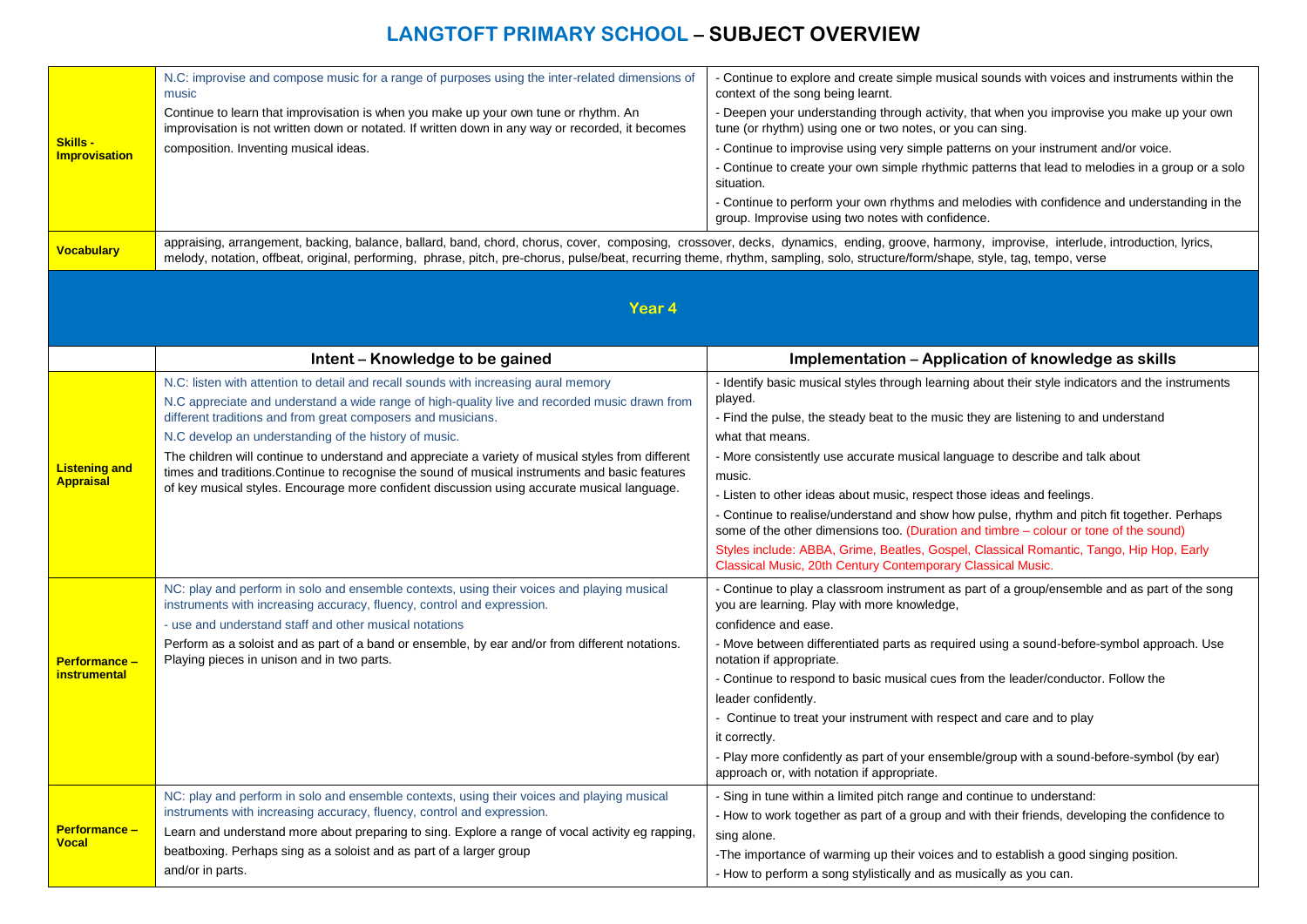| <b>Skills -</b><br>Improvisation<br><b>Vocabulary</b> | N.C: improvise and compose music for a range of purposes using the inter-related dimensions of<br>music<br>Continue to learn that improvisation is when you make up your own tune or rhythm. An<br>improvisation is not written down or notated. If written down in any way or recorded, it becomes<br>composition. Inventing musical ideas.<br>appraising, arrangement, backing, balance, ballard, band, chord, chorus, cover, composing, crossover, decks, dynamics, ending, groove, harmony, improvise, interlude, introduction, lyrics,<br>melody, notation, offbeat, original, performing, phrase, pitch, pre-chorus, pulse/beat, recurring theme, rhythm, sampling, solo, structure/form/shape, style, tag, tempo, verse | - Continue to explore and create simple musical sounds with voices and instruments within the<br>context of the song being learnt.<br>- Deepen your understanding through activity, that when you improvise you make up your own<br>tune (or rhythm) using one or two notes, or you can sing.<br>- Continue to improvise using very simple patterns on your instrument and/or voice.<br>- Continue to create your own simple rhythmic patterns that lead to melodies in a group or a solo<br>situation.<br>- Continue to perform your own rhythms and melodies with confidence and understanding in the<br>group. Improvise using two notes with confidence.                                                                                  |
|-------------------------------------------------------|--------------------------------------------------------------------------------------------------------------------------------------------------------------------------------------------------------------------------------------------------------------------------------------------------------------------------------------------------------------------------------------------------------------------------------------------------------------------------------------------------------------------------------------------------------------------------------------------------------------------------------------------------------------------------------------------------------------------------------|-----------------------------------------------------------------------------------------------------------------------------------------------------------------------------------------------------------------------------------------------------------------------------------------------------------------------------------------------------------------------------------------------------------------------------------------------------------------------------------------------------------------------------------------------------------------------------------------------------------------------------------------------------------------------------------------------------------------------------------------------|
| Year 4                                                |                                                                                                                                                                                                                                                                                                                                                                                                                                                                                                                                                                                                                                                                                                                                |                                                                                                                                                                                                                                                                                                                                                                                                                                                                                                                                                                                                                                                                                                                                               |
|                                                       | Intent - Knowledge to be gained                                                                                                                                                                                                                                                                                                                                                                                                                                                                                                                                                                                                                                                                                                | Implementation – Application of knowledge as skills                                                                                                                                                                                                                                                                                                                                                                                                                                                                                                                                                                                                                                                                                           |
| <b>Listening and</b><br><b>Appraisal</b>              | N.C: listen with attention to detail and recall sounds with increasing aural memory<br>N.C appreciate and understand a wide range of high-quality live and recorded music drawn from<br>different traditions and from great composers and musicians.<br>N.C develop an understanding of the history of music.<br>The children will continue to understand and appreciate a variety of musical styles from different<br>times and traditions. Continue to recognise the sound of musical instruments and basic features<br>of key musical styles. Encourage more confident discussion using accurate musical language.                                                                                                          | - Identify basic musical styles through learning about their style indicators and the instruments<br>played.<br>- Find the pulse, the steady beat to the music they are listening to and understand<br>what that means.<br>- More consistently use accurate musical language to describe and talk about<br>music.<br>- Listen to other ideas about music, respect those ideas and feelings.<br>- Continue to realise/understand and show how pulse, rhythm and pitch fit together. Perhaps<br>some of the other dimensions too. (Duration and timbre - colour or tone of the sound)<br>Styles include: ABBA, Grime, Beatles, Gospel, Classical Romantic, Tango, Hip Hop, Early<br>Classical Music, 20th Century Contemporary Classical Music. |
| <b>Performance -</b><br>instrumental                  | NC: play and perform in solo and ensemble contexts, using their voices and playing musical<br>instruments with increasing accuracy, fluency, control and expression.<br>- use and understand staff and other musical notations<br>Perform as a soloist and as part of a band or ensemble, by ear and/or from different notations.<br>Playing pieces in unison and in two parts.                                                                                                                                                                                                                                                                                                                                                | - Continue to play a classroom instrument as part of a group/ensemble and as part of the song<br>you are learning. Play with more knowledge,<br>confidence and ease.<br>- Move between differentiated parts as required using a sound-before-symbol approach. Use<br>notation if appropriate.<br>- Continue to respond to basic musical cues from the leader/conductor. Follow the<br>leader confidently.<br>- Continue to treat your instrument with respect and care and to play<br>it correctly.<br>- Play more confidently as part of your ensemble/group with a sound-before-symbol (by ear)<br>approach or, with notation if appropriate.                                                                                               |
| <b>Performance -</b><br>Vocal                         | NC: play and perform in solo and ensemble contexts, using their voices and playing musical<br>instruments with increasing accuracy, fluency, control and expression.<br>Learn and understand more about preparing to sing. Explore a range of vocal activity eg rapping,<br>beatboxing. Perhaps sing as a soloist and as part of a larger group<br>and/or in parts.                                                                                                                                                                                                                                                                                                                                                            | Sing in tune within a limited pitch range and continue to understand:<br>- How to work together as part of a group and with their friends, developing the confidence to<br>sing alone.<br>-The importance of warming up their voices and to establish a good singing position.<br>- How to perform a song stylistically and as musically as you can.                                                                                                                                                                                                                                                                                                                                                                                          |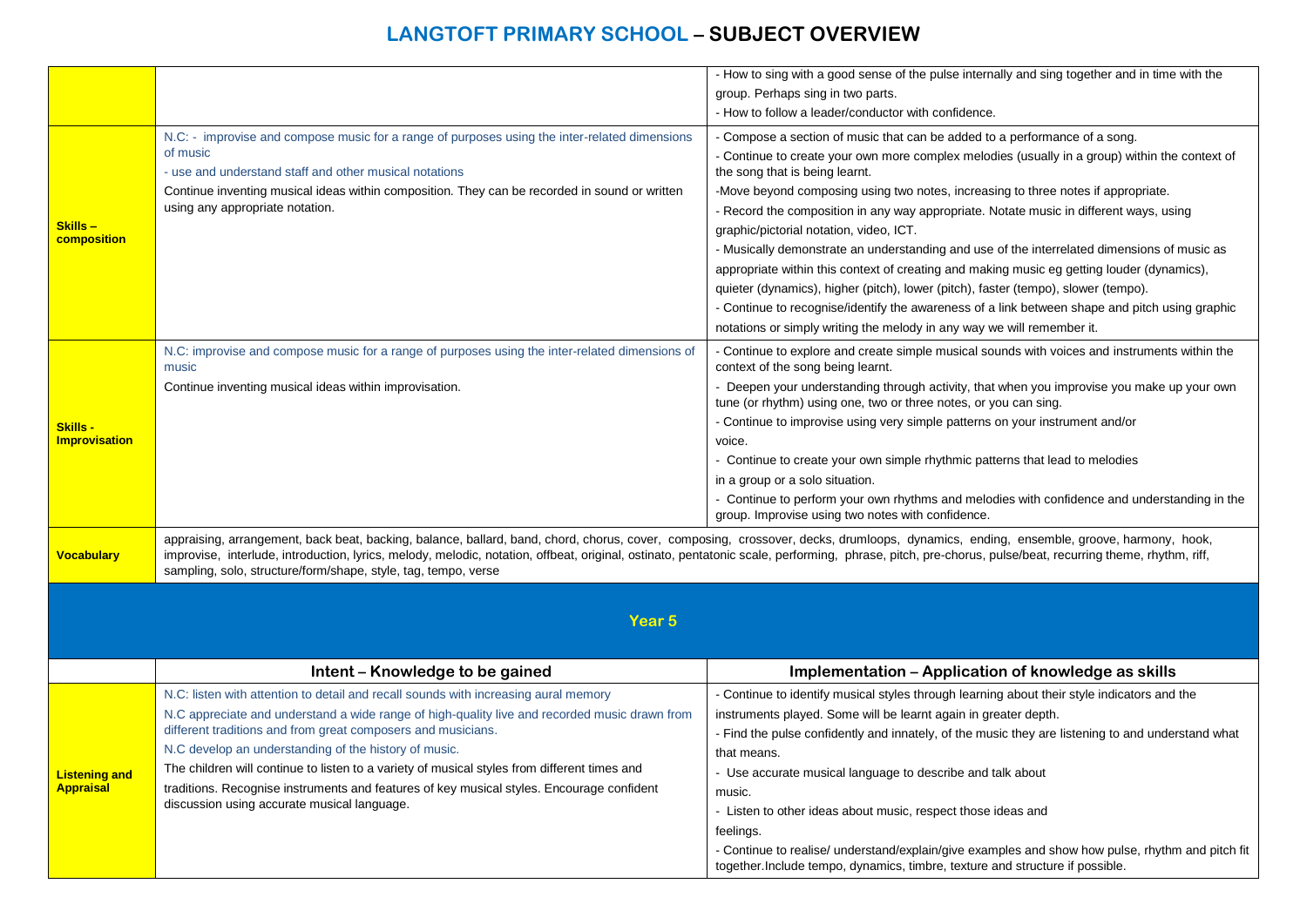|                                          |                                                                                                                                                                                                                                                                                                                                                                                                                                                                    | - How to sing with a good sense of the pulse internally and sing together and in time with the                                                                                                                                                                                                                                                                                                                                                                                                                                                                                                                                                                                                                                                                                                                                                                                                          |
|------------------------------------------|--------------------------------------------------------------------------------------------------------------------------------------------------------------------------------------------------------------------------------------------------------------------------------------------------------------------------------------------------------------------------------------------------------------------------------------------------------------------|---------------------------------------------------------------------------------------------------------------------------------------------------------------------------------------------------------------------------------------------------------------------------------------------------------------------------------------------------------------------------------------------------------------------------------------------------------------------------------------------------------------------------------------------------------------------------------------------------------------------------------------------------------------------------------------------------------------------------------------------------------------------------------------------------------------------------------------------------------------------------------------------------------|
|                                          |                                                                                                                                                                                                                                                                                                                                                                                                                                                                    | group. Perhaps sing in two parts.                                                                                                                                                                                                                                                                                                                                                                                                                                                                                                                                                                                                                                                                                                                                                                                                                                                                       |
|                                          |                                                                                                                                                                                                                                                                                                                                                                                                                                                                    | - How to follow a leader/conductor with confidence.                                                                                                                                                                                                                                                                                                                                                                                                                                                                                                                                                                                                                                                                                                                                                                                                                                                     |
| Skills-<br>composition                   | N.C: - improvise and compose music for a range of purposes using the inter-related dimensions<br>of music<br>- use and understand staff and other musical notations<br>Continue inventing musical ideas within composition. They can be recorded in sound or written<br>using any appropriate notation.                                                                                                                                                            | - Compose a section of music that can be added to a performance of a song.<br>- Continue to create your own more complex melodies (usually in a group) within the context of<br>the song that is being learnt.<br>-Move beyond composing using two notes, increasing to three notes if appropriate.<br>- Record the composition in any way appropriate. Notate music in different ways, using<br>graphic/pictorial notation, video, ICT.<br>- Musically demonstrate an understanding and use of the interrelated dimensions of music as<br>appropriate within this context of creating and making music eg getting louder (dynamics),<br>quieter (dynamics), higher (pitch), lower (pitch), faster (tempo), slower (tempo).<br>- Continue to recognise/identify the awareness of a link between shape and pitch using graphic<br>notations or simply writing the melody in any way we will remember it. |
|                                          | N.C: improvise and compose music for a range of purposes using the inter-related dimensions of<br>music                                                                                                                                                                                                                                                                                                                                                            | - Continue to explore and create simple musical sounds with voices and instruments within the<br>context of the song being learnt.                                                                                                                                                                                                                                                                                                                                                                                                                                                                                                                                                                                                                                                                                                                                                                      |
|                                          | Continue inventing musical ideas within improvisation.                                                                                                                                                                                                                                                                                                                                                                                                             | - Deepen your understanding through activity, that when you improvise you make up your own<br>tune (or rhythm) using one, two or three notes, or you can sing.                                                                                                                                                                                                                                                                                                                                                                                                                                                                                                                                                                                                                                                                                                                                          |
| Skills -<br><b>Improvisation</b>         |                                                                                                                                                                                                                                                                                                                                                                                                                                                                    | - Continue to improvise using very simple patterns on your instrument and/or<br>voice.                                                                                                                                                                                                                                                                                                                                                                                                                                                                                                                                                                                                                                                                                                                                                                                                                  |
|                                          |                                                                                                                                                                                                                                                                                                                                                                                                                                                                    | - Continue to create your own simple rhythmic patterns that lead to melodies                                                                                                                                                                                                                                                                                                                                                                                                                                                                                                                                                                                                                                                                                                                                                                                                                            |
|                                          |                                                                                                                                                                                                                                                                                                                                                                                                                                                                    | in a group or a solo situation.                                                                                                                                                                                                                                                                                                                                                                                                                                                                                                                                                                                                                                                                                                                                                                                                                                                                         |
|                                          |                                                                                                                                                                                                                                                                                                                                                                                                                                                                    | - Continue to perform your own rhythms and melodies with confidence and understanding in the<br>group. Improvise using two notes with confidence.                                                                                                                                                                                                                                                                                                                                                                                                                                                                                                                                                                                                                                                                                                                                                       |
| <b>Vocabulary</b>                        | appraising, arrangement, back beat, backing, balance, ballard, band, chord, chorus, cover, composing, crossover, decks, drumloops, dynamics, ending, ensemble, groove, harmony, hook,<br>improvise, interlude, introduction, lyrics, melody, melodic, notation, offbeat, original, ostinato, pentatonic scale, performing, phrase, pitch, pre-chorus, pulse/beat, recurring theme, rhythm, riff,<br>sampling, solo, structure/form/shape, style, tag, tempo, verse |                                                                                                                                                                                                                                                                                                                                                                                                                                                                                                                                                                                                                                                                                                                                                                                                                                                                                                         |
|                                          |                                                                                                                                                                                                                                                                                                                                                                                                                                                                    |                                                                                                                                                                                                                                                                                                                                                                                                                                                                                                                                                                                                                                                                                                                                                                                                                                                                                                         |
|                                          | Year <sub>5</sub>                                                                                                                                                                                                                                                                                                                                                                                                                                                  |                                                                                                                                                                                                                                                                                                                                                                                                                                                                                                                                                                                                                                                                                                                                                                                                                                                                                                         |
|                                          |                                                                                                                                                                                                                                                                                                                                                                                                                                                                    |                                                                                                                                                                                                                                                                                                                                                                                                                                                                                                                                                                                                                                                                                                                                                                                                                                                                                                         |
|                                          | Intent - Knowledge to be gained                                                                                                                                                                                                                                                                                                                                                                                                                                    | Implementation - Application of knowledge as skills                                                                                                                                                                                                                                                                                                                                                                                                                                                                                                                                                                                                                                                                                                                                                                                                                                                     |
|                                          | N.C: listen with attention to detail and recall sounds with increasing aural memory                                                                                                                                                                                                                                                                                                                                                                                | - Continue to identify musical styles through learning about their style indicators and the                                                                                                                                                                                                                                                                                                                                                                                                                                                                                                                                                                                                                                                                                                                                                                                                             |
|                                          | N.C appreciate and understand a wide range of high-quality live and recorded music drawn from                                                                                                                                                                                                                                                                                                                                                                      | instruments played. Some will be learnt again in greater depth.                                                                                                                                                                                                                                                                                                                                                                                                                                                                                                                                                                                                                                                                                                                                                                                                                                         |
|                                          | different traditions and from great composers and musicians.                                                                                                                                                                                                                                                                                                                                                                                                       | - Find the pulse confidently and innately, of the music they are listening to and understand what                                                                                                                                                                                                                                                                                                                                                                                                                                                                                                                                                                                                                                                                                                                                                                                                       |
| <b>Listening and</b><br><b>Appraisal</b> | N.C develop an understanding of the history of music.                                                                                                                                                                                                                                                                                                                                                                                                              | that means.                                                                                                                                                                                                                                                                                                                                                                                                                                                                                                                                                                                                                                                                                                                                                                                                                                                                                             |
|                                          | The children will continue to listen to a variety of musical styles from different times and                                                                                                                                                                                                                                                                                                                                                                       | - Use accurate musical language to describe and talk about                                                                                                                                                                                                                                                                                                                                                                                                                                                                                                                                                                                                                                                                                                                                                                                                                                              |
|                                          | traditions. Recognise instruments and features of key musical styles. Encourage confident<br>discussion using accurate musical language.                                                                                                                                                                                                                                                                                                                           | music.                                                                                                                                                                                                                                                                                                                                                                                                                                                                                                                                                                                                                                                                                                                                                                                                                                                                                                  |
|                                          |                                                                                                                                                                                                                                                                                                                                                                                                                                                                    | - Listen to other ideas about music, respect those ideas and                                                                                                                                                                                                                                                                                                                                                                                                                                                                                                                                                                                                                                                                                                                                                                                                                                            |
|                                          |                                                                                                                                                                                                                                                                                                                                                                                                                                                                    | feelings.<br>- Continue to realise/ understand/explain/give examples and show how pulse, rhythm and pitch fit                                                                                                                                                                                                                                                                                                                                                                                                                                                                                                                                                                                                                                                                                                                                                                                           |
|                                          |                                                                                                                                                                                                                                                                                                                                                                                                                                                                    | together. Include tempo, dynamics, timbre, texture and structure if possible.                                                                                                                                                                                                                                                                                                                                                                                                                                                                                                                                                                                                                                                                                                                                                                                                                           |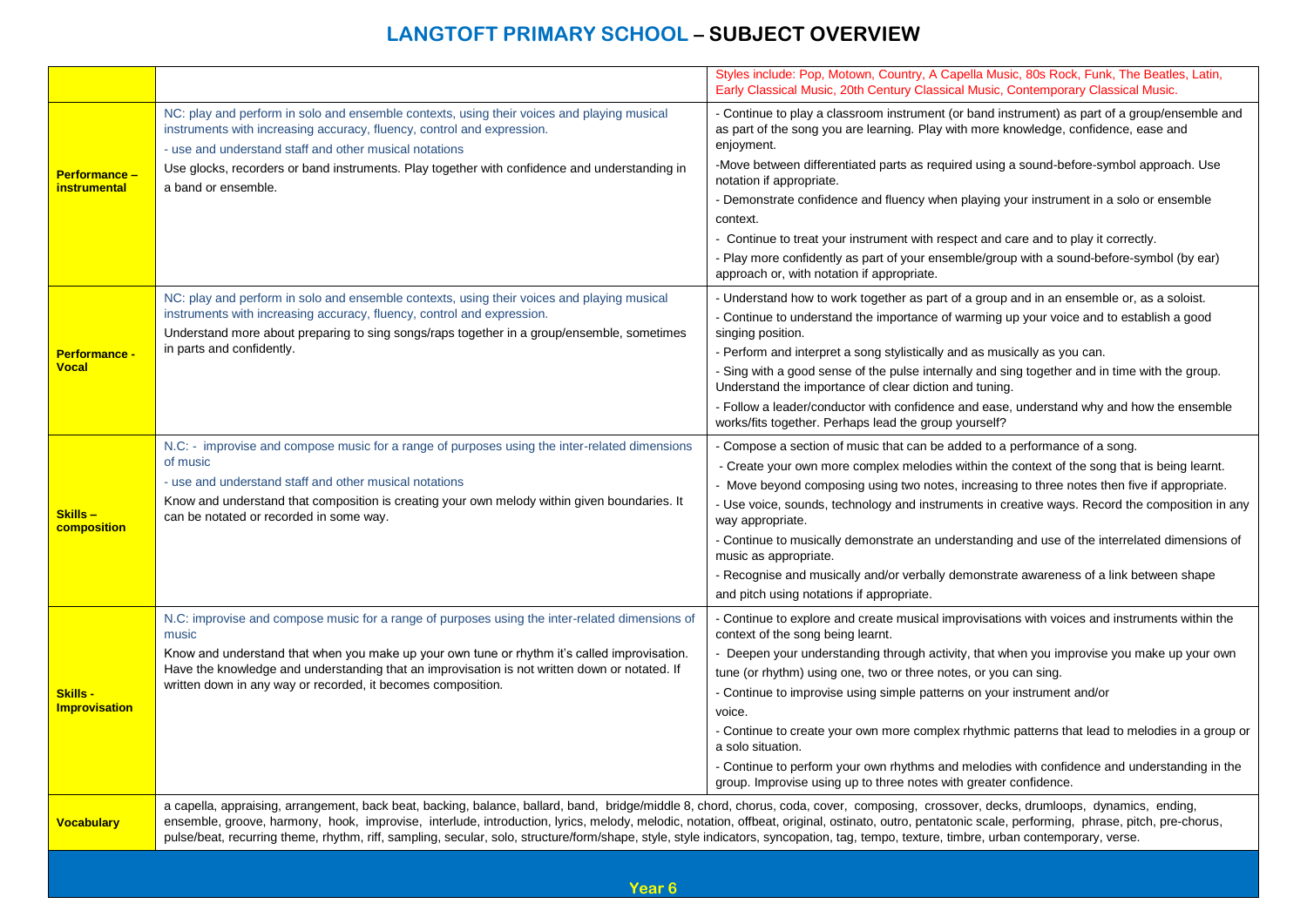|                                         |                                                                                                                                                                                                                                                                                                                                                                                                                                                                                                                                                                                           | Styles include: Pop, Motown, Country, A Capella Music, 80s Rock, Funk, The Beatles, Latin,<br>Early Classical Music, 20th Century Classical Music, Contemporary Classical Music.                                                                                                                                                                                                                                                                                                                                                                                                                                                                                                         |
|-----------------------------------------|-------------------------------------------------------------------------------------------------------------------------------------------------------------------------------------------------------------------------------------------------------------------------------------------------------------------------------------------------------------------------------------------------------------------------------------------------------------------------------------------------------------------------------------------------------------------------------------------|------------------------------------------------------------------------------------------------------------------------------------------------------------------------------------------------------------------------------------------------------------------------------------------------------------------------------------------------------------------------------------------------------------------------------------------------------------------------------------------------------------------------------------------------------------------------------------------------------------------------------------------------------------------------------------------|
| Performance -<br><b>instrumental</b>    | NC: play and perform in solo and ensemble contexts, using their voices and playing musical<br>instruments with increasing accuracy, fluency, control and expression.<br>- use and understand staff and other musical notations<br>Use glocks, recorders or band instruments. Play together with confidence and understanding in<br>a band or ensemble.                                                                                                                                                                                                                                    | - Continue to play a classroom instrument (or band instrument) as part of a group/ensemble and<br>as part of the song you are learning. Play with more knowledge, confidence, ease and<br>enjoyment.<br>-Move between differentiated parts as required using a sound-before-symbol approach. Use<br>notation if appropriate.<br>- Demonstrate confidence and fluency when playing your instrument in a solo or ensemble<br>context.<br>- Continue to treat your instrument with respect and care and to play it correctly.<br>- Play more confidently as part of your ensemble/group with a sound-before-symbol (by ear)<br>approach or, with notation if appropriate.                   |
| <b>Performance -</b><br><b>Vocal</b>    | NC: play and perform in solo and ensemble contexts, using their voices and playing musical<br>instruments with increasing accuracy, fluency, control and expression.<br>Understand more about preparing to sing songs/raps together in a group/ensemble, sometimes<br>in parts and confidently.                                                                                                                                                                                                                                                                                           | - Understand how to work together as part of a group and in an ensemble or, as a soloist.<br>- Continue to understand the importance of warming up your voice and to establish a good<br>singing position.<br>- Perform and interpret a song stylistically and as musically as you can.<br>- Sing with a good sense of the pulse internally and sing together and in time with the group.<br>Understand the importance of clear diction and tuning.<br>- Follow a leader/conductor with confidence and ease, understand why and how the ensemble<br>works/fits together. Perhaps lead the group yourself?                                                                                |
| Skills -<br>composition                 | N.C: - improvise and compose music for a range of purposes using the inter-related dimensions<br>of music<br>- use and understand staff and other musical notations<br>Know and understand that composition is creating your own melody within given boundaries. It<br>can be notated or recorded in some way.                                                                                                                                                                                                                                                                            | - Compose a section of music that can be added to a performance of a song.<br>- Create your own more complex melodies within the context of the song that is being learnt.<br>- Move beyond composing using two notes, increasing to three notes then five if appropriate.<br>- Use voice, sounds, technology and instruments in creative ways. Record the composition in any<br>way appropriate.<br>- Continue to musically demonstrate an understanding and use of the interrelated dimensions of<br>music as appropriate.<br>- Recognise and musically and/or verbally demonstrate awareness of a link between shape<br>and pitch using notations if appropriate.                     |
| <b>Skills -</b><br><b>Improvisation</b> | N.C: improvise and compose music for a range of purposes using the inter-related dimensions of<br>music<br>Know and understand that when you make up your own tune or rhythm it's called improvisation.<br>Have the knowledge and understanding that an improvisation is not written down or notated. If<br>written down in any way or recorded, it becomes composition.                                                                                                                                                                                                                  | - Continue to explore and create musical improvisations with voices and instruments within the<br>context of the song being learnt.<br>- Deepen your understanding through activity, that when you improvise you make up your own<br>tune (or rhythm) using one, two or three notes, or you can sing.<br>- Continue to improvise using simple patterns on your instrument and/or<br>voice.<br>- Continue to create your own more complex rhythmic patterns that lead to melodies in a group or<br>a solo situation.<br>- Continue to perform your own rhythms and melodies with confidence and understanding in the<br>group. Improvise using up to three notes with greater confidence. |
| <b>Vocabulary</b>                       | a capella, appraising, arrangement, back beat, backing, balance, ballard, band, bridge/middle 8, chord, chorus, coda, cover, composing, crossover, decks, drumloops, dynamics, ending,<br>ensemble, groove, harmony, hook, improvise, interlude, introduction, lyrics, melody, melodic, notation, offbeat, original, ostinato, outro, pentatonic scale, performing, phrase, pitch, pre-chorus,<br>pulse/beat, recurring theme, rhythm, riff, sampling, secular, solo, structure/form/shape, style, style indicators, syncopation, tag, tempo, texture, timbre, urban contemporary, verse. |                                                                                                                                                                                                                                                                                                                                                                                                                                                                                                                                                                                                                                                                                          |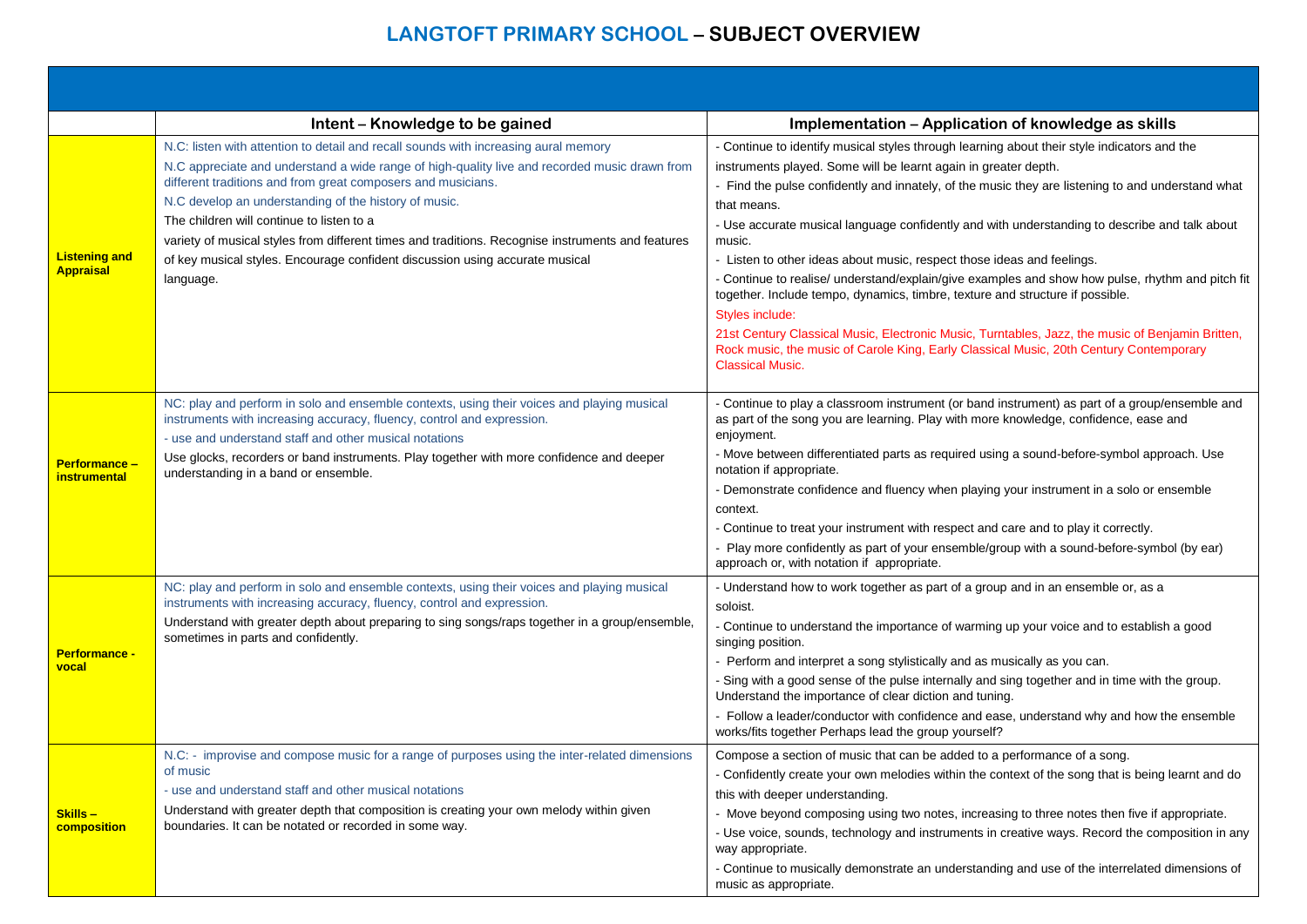|                                             | Intent - Knowledge to be gained                                                                                                                                                                                                                                                                                                                                                                                                                                                                                                                              | Implementation - Application of knowledge as skills                                                                                                                                                                                                                                                                                                                                                                                                                                                                                                                                                                                                                                                                                                                                                                                                                                                      |
|---------------------------------------------|--------------------------------------------------------------------------------------------------------------------------------------------------------------------------------------------------------------------------------------------------------------------------------------------------------------------------------------------------------------------------------------------------------------------------------------------------------------------------------------------------------------------------------------------------------------|----------------------------------------------------------------------------------------------------------------------------------------------------------------------------------------------------------------------------------------------------------------------------------------------------------------------------------------------------------------------------------------------------------------------------------------------------------------------------------------------------------------------------------------------------------------------------------------------------------------------------------------------------------------------------------------------------------------------------------------------------------------------------------------------------------------------------------------------------------------------------------------------------------|
| <b>Listening and</b><br><b>Appraisal</b>    | N.C: listen with attention to detail and recall sounds with increasing aural memory<br>N.C appreciate and understand a wide range of high-quality live and recorded music drawn from<br>different traditions and from great composers and musicians.<br>N.C develop an understanding of the history of music.<br>The children will continue to listen to a<br>variety of musical styles from different times and traditions. Recognise instruments and features<br>of key musical styles. Encourage confident discussion using accurate musical<br>language. | - Continue to identify musical styles through learning about their style indicators and the<br>instruments played. Some will be learnt again in greater depth.<br>- Find the pulse confidently and innately, of the music they are listening to and understand what<br>that means.<br>- Use accurate musical language confidently and with understanding to describe and talk about<br>music.<br>- Listen to other ideas about music, respect those ideas and feelings.<br>- Continue to realise/ understand/explain/give examples and show how pulse, rhythm and pitch fit<br>together. Include tempo, dynamics, timbre, texture and structure if possible.<br>Styles include:<br>21st Century Classical Music, Electronic Music, Turntables, Jazz, the music of Benjamin Britten,<br>Rock music, the music of Carole King, Early Classical Music, 20th Century Contemporary<br><b>Classical Music.</b> |
| <b>Performance -</b><br><b>instrumental</b> | NC: play and perform in solo and ensemble contexts, using their voices and playing musical<br>instruments with increasing accuracy, fluency, control and expression.<br>- use and understand staff and other musical notations<br>Use glocks, recorders or band instruments. Play together with more confidence and deeper<br>understanding in a band or ensemble.                                                                                                                                                                                           | - Continue to play a classroom instrument (or band instrument) as part of a group/ensemble and<br>as part of the song you are learning. Play with more knowledge, confidence, ease and<br>enjoyment.<br>- Move between differentiated parts as required using a sound-before-symbol approach. Use<br>notation if appropriate.<br>- Demonstrate confidence and fluency when playing your instrument in a solo or ensemble<br>context.<br>- Continue to treat your instrument with respect and care and to play it correctly.<br>Play more confidently as part of your ensemble/group with a sound-before-symbol (by ear)<br>approach or, with notation if appropriate.                                                                                                                                                                                                                                    |
| <b>Performance -</b><br>vocal               | NC: play and perform in solo and ensemble contexts, using their voices and playing musical<br>instruments with increasing accuracy, fluency, control and expression.<br>Understand with greater depth about preparing to sing songs/raps together in a group/ensemble,<br>sometimes in parts and confidently.                                                                                                                                                                                                                                                | - Understand how to work together as part of a group and in an ensemble or, as a<br>soloist.<br>- Continue to understand the importance of warming up your voice and to establish a good<br>singing position.<br>- Perform and interpret a song stylistically and as musically as you can.<br>- Sing with a good sense of the pulse internally and sing together and in time with the group.<br>Understand the importance of clear diction and tuning.<br>- Follow a leader/conductor with confidence and ease, understand why and how the ensemble<br>works/fits together Perhaps lead the group yourself?                                                                                                                                                                                                                                                                                              |
| Skills-<br>composition                      | N.C: - improvise and compose music for a range of purposes using the inter-related dimensions<br>of music<br>- use and understand staff and other musical notations<br>Understand with greater depth that composition is creating your own melody within given<br>boundaries. It can be notated or recorded in some way.                                                                                                                                                                                                                                     | Compose a section of music that can be added to a performance of a song.<br>- Confidently create your own melodies within the context of the song that is being learnt and do<br>this with deeper understanding.<br>- Move beyond composing using two notes, increasing to three notes then five if appropriate.<br>- Use voice, sounds, technology and instruments in creative ways. Record the composition in any<br>way appropriate.<br>- Continue to musically demonstrate an understanding and use of the interrelated dimensions of<br>music as appropriate.                                                                                                                                                                                                                                                                                                                                       |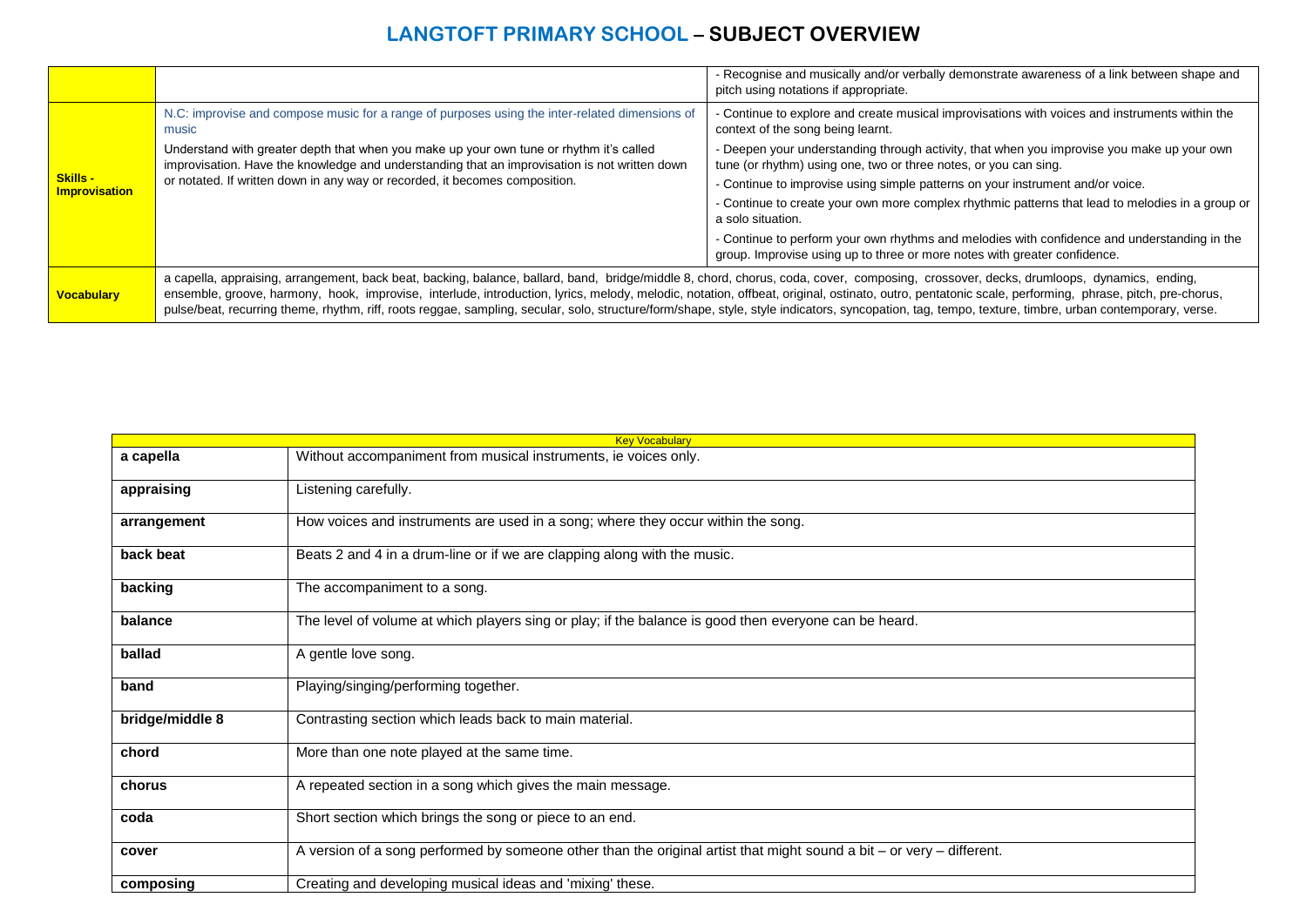|                                         |                                                                                                                                                                                                                                                                                                                                                                                                                                                                                                                                                                                                         | - Recognise and musically and/or verbally demonstrate awareness of a link between shape and<br>pitch using notations if appropriate.                                      |
|-----------------------------------------|---------------------------------------------------------------------------------------------------------------------------------------------------------------------------------------------------------------------------------------------------------------------------------------------------------------------------------------------------------------------------------------------------------------------------------------------------------------------------------------------------------------------------------------------------------------------------------------------------------|---------------------------------------------------------------------------------------------------------------------------------------------------------------------------|
|                                         | N.C: improvise and compose music for a range of purposes using the inter-related dimensions of<br>music                                                                                                                                                                                                                                                                                                                                                                                                                                                                                                 | - Continue to explore and create musical improvisations with voices and instruments within the<br>context of the song being learnt.                                       |
|                                         | Understand with greater depth that when you make up your own tune or rhythm it's called<br>improvisation. Have the knowledge and understanding that an improvisation is not written down                                                                                                                                                                                                                                                                                                                                                                                                                | - Deepen your understanding through activity, that when you improvise you make up your own<br>tune (or rhythm) using one, two or three notes, or you can sing.            |
| <b>Skills -</b><br><b>Improvisation</b> | or notated. If written down in any way or recorded, it becomes composition.                                                                                                                                                                                                                                                                                                                                                                                                                                                                                                                             | - Continue to improvise using simple patterns on your instrument and/or voice.                                                                                            |
|                                         |                                                                                                                                                                                                                                                                                                                                                                                                                                                                                                                                                                                                         | - Continue to create your own more complex rhythmic patterns that lead to melodies in a group or<br>a solo situation.                                                     |
|                                         |                                                                                                                                                                                                                                                                                                                                                                                                                                                                                                                                                                                                         | - Continue to perform your own rhythms and melodies with confidence and understanding in the<br>group. Improvise using up to three or more notes with greater confidence. |
| <b>Vocabulary</b>                       | a capella, appraising, arrangement, back beat, backing, balance, ballard, band, bridge/middle 8, chord, chorus, coda, cover, composing, crossover, decks, drumloops, dynamics, ending,<br>ensemble, groove, harmony, hook, improvise, interlude, introduction, lyrics, melody, melodic, notation, offbeat, original, ostinato, outro, pentatonic scale, performing, phrase, pitch, pre-chorus,<br>pulse/beat, recurring theme, rhythm, riff, roots reggae, sampling, secular, solo, structure/form/shape, style, style indicators, syncopation, tag, tempo, texture, timbre, urban contemporary, verse. |                                                                                                                                                                           |

| <b>Key Vocabulary</b> |                                                                                                                       |
|-----------------------|-----------------------------------------------------------------------------------------------------------------------|
| a capella             | Without accompaniment from musical instruments, ie voices only.                                                       |
| appraising            | Listening carefully.                                                                                                  |
| arrangement           | How voices and instruments are used in a song; where they occur within the song.                                      |
| back beat             | Beats 2 and 4 in a drum-line or if we are clapping along with the music.                                              |
| backing               | The accompaniment to a song.                                                                                          |
| balance               | The level of volume at which players sing or play; if the balance is good then everyone can be heard.                 |
| ballad                | A gentle love song.                                                                                                   |
| band                  | Playing/singing/performing together.                                                                                  |
| bridge/middle 8       | Contrasting section which leads back to main material.                                                                |
| chord                 | More than one note played at the same time.                                                                           |
| chorus                | A repeated section in a song which gives the main message.                                                            |
| coda                  | Short section which brings the song or piece to an end.                                                               |
| cover                 | A version of a song performed by someone other than the original artist that might sound a bit – or very – different. |
| composing             | Creating and developing musical ideas and 'mixing' these.                                                             |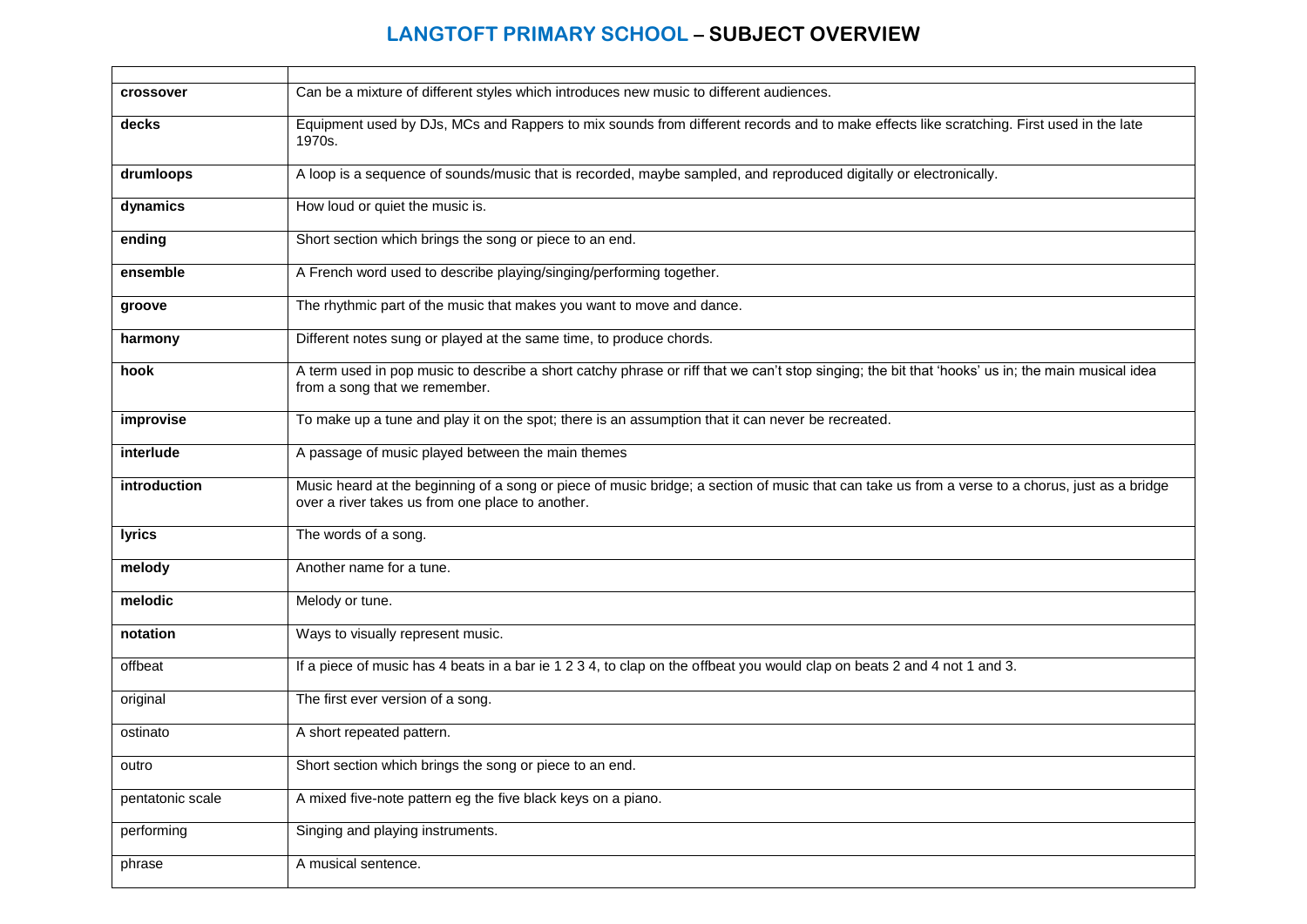| crossover        | Can be a mixture of different styles which introduces new music to different audiences.                                                                                                             |
|------------------|-----------------------------------------------------------------------------------------------------------------------------------------------------------------------------------------------------|
| decks            | Equipment used by DJs, MCs and Rappers to mix sounds from different records and to make effects like scratching. First used in the late<br>1970s.                                                   |
| drumloops        | A loop is a sequence of sounds/music that is recorded, maybe sampled, and reproduced digitally or electronically.                                                                                   |
| dynamics         | How loud or quiet the music is.                                                                                                                                                                     |
| ending           | Short section which brings the song or piece to an end.                                                                                                                                             |
| ensemble         | A French word used to describe playing/singing/performing together.                                                                                                                                 |
| groove           | The rhythmic part of the music that makes you want to move and dance.                                                                                                                               |
| harmony          | Different notes sung or played at the same time, to produce chords.                                                                                                                                 |
| hook             | A term used in pop music to describe a short catchy phrase or riff that we can't stop singing; the bit that 'hooks' us in; the main musical idea<br>from a song that we remember.                   |
| improvise        | To make up a tune and play it on the spot; there is an assumption that it can never be recreated.                                                                                                   |
| interlude        | A passage of music played between the main themes                                                                                                                                                   |
| introduction     | Music heard at the beginning of a song or piece of music bridge; a section of music that can take us from a verse to a chorus, just as a bridge<br>over a river takes us from one place to another. |
| lyrics           | The words of a song.                                                                                                                                                                                |
| melody           | Another name for a tune.                                                                                                                                                                            |
| melodic          | Melody or tune.                                                                                                                                                                                     |
| notation         | Ways to visually represent music.                                                                                                                                                                   |
| offbeat          | If a piece of music has 4 beats in a bar ie 1 2 3 4, to clap on the offbeat you would clap on beats 2 and 4 not 1 and 3.                                                                            |
| original         | The first ever version of a song.                                                                                                                                                                   |
| ostinato         | A short repeated pattern.                                                                                                                                                                           |
| outro            | Short section which brings the song or piece to an end.                                                                                                                                             |
| pentatonic scale | A mixed five-note pattern eg the five black keys on a piano.                                                                                                                                        |
| performing       | Singing and playing instruments.                                                                                                                                                                    |
| phrase           | A musical sentence.                                                                                                                                                                                 |